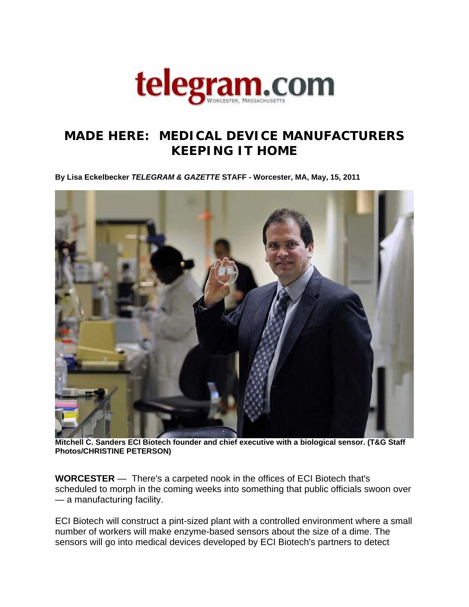

## **MADE HERE: MEDICAL DEVICE MANUFACTURERS KEEPING IT HOME**

**By Lisa Eckelbecker** *TELEGRAM & GAZETTE* **STAFF - Worcester, MA, May, 15, 2011**



**Mitchell C. Sanders ECI Biotech founder and chief executive with a biological sensor. (T&G Staff Photos/CHRISTINE PETERSON)** 

**WORCESTER** — There's a carpeted nook in the offices of ECI Biotech that's scheduled to morph in the coming weeks into something that public officials swoon over — a manufacturing facility.

ECI Biotech will construct a pint-sized plant with a controlled environment where a small number of workers will make enzyme-based sensors about the size of a dime. The sensors will go into medical devices developed by ECI Biotech's partners to detect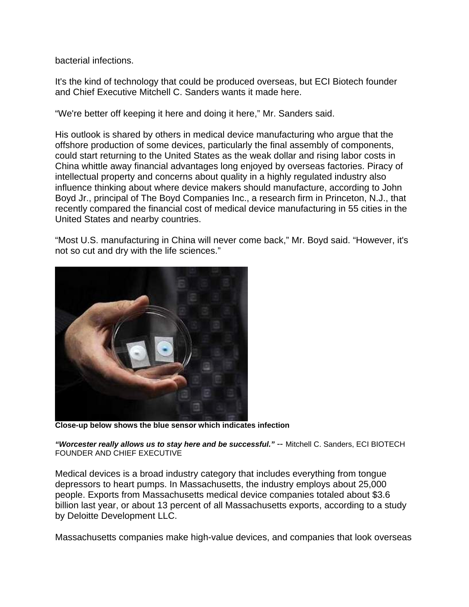bacterial infections.

It's the kind of technology that could be produced overseas, but ECI Biotech founder and Chief Executive Mitchell C. Sanders wants it made here.

"We're better off keeping it here and doing it here," Mr. Sanders said.

His outlook is shared by others in medical device manufacturing who argue that the offshore production of some devices, particularly the final assembly of components, could start returning to the United States as the weak dollar and rising labor costs in China whittle away financial advantages long enjoyed by overseas factories. Piracy of intellectual property and concerns about quality in a highly regulated industry also influence thinking about where device makers should manufacture, according to John Boyd Jr., principal of The Boyd Companies Inc., a research firm in Princeton, N.J., that recently compared the financial cost of medical device manufacturing in 55 cities in the United States and nearby countries.

"Most U.S. manufacturing in China will never come back," Mr. Boyd said. "However, it's not so cut and dry with the life sciences."



**Close-up below shows the blue sensor which indicates infection** 

*"Worcester really allows us to stay here and be successful."* -- Mitchell C. Sanders, ECI BIOTECH FOUNDER AND CHIEF EXECUTIVE

Medical devices is a broad industry category that includes everything from tongue depressors to heart pumps. In Massachusetts, the industry employs about 25,000 people. Exports from Massachusetts medical device companies totaled about \$3.6 billion last year, or about 13 percent of all Massachusetts exports, according to a study by Deloitte Development LLC.

Massachusetts companies make high-value devices, and companies that look overseas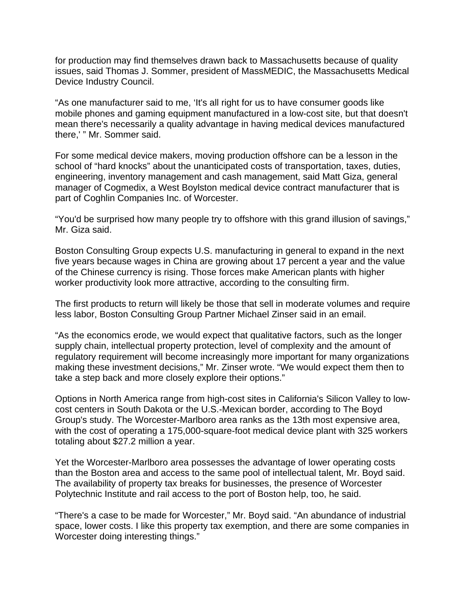for production may find themselves drawn back to Massachusetts because of quality issues, said Thomas J. Sommer, president of MassMEDIC, the Massachusetts Medical Device Industry Council.

"As one manufacturer said to me, 'It's all right for us to have consumer goods like mobile phones and gaming equipment manufactured in a low-cost site, but that doesn't mean there's necessarily a quality advantage in having medical devices manufactured there,' " Mr. Sommer said.

For some medical device makers, moving production offshore can be a lesson in the school of "hard knocks" about the unanticipated costs of transportation, taxes, duties, engineering, inventory management and cash management, said Matt Giza, general manager of Cogmedix, a West Boylston medical device contract manufacturer that is part of Coghlin Companies Inc. of Worcester.

"You'd be surprised how many people try to offshore with this grand illusion of savings," Mr. Giza said.

Boston Consulting Group expects U.S. manufacturing in general to expand in the next five years because wages in China are growing about 17 percent a year and the value of the Chinese currency is rising. Those forces make American plants with higher worker productivity look more attractive, according to the consulting firm.

The first products to return will likely be those that sell in moderate volumes and require less labor, Boston Consulting Group Partner Michael Zinser said in an email.

"As the economics erode, we would expect that qualitative factors, such as the longer supply chain, intellectual property protection, level of complexity and the amount of regulatory requirement will become increasingly more important for many organizations making these investment decisions," Mr. Zinser wrote. "We would expect them then to take a step back and more closely explore their options."

Options in North America range from high-cost sites in California's Silicon Valley to lowcost centers in South Dakota or the U.S.-Mexican border, according to The Boyd Group's study. The Worcester-Marlboro area ranks as the 13th most expensive area, with the cost of operating a 175,000-square-foot medical device plant with 325 workers totaling about \$27.2 million a year.

Yet the Worcester-Marlboro area possesses the advantage of lower operating costs than the Boston area and access to the same pool of intellectual talent, Mr. Boyd said. The availability of property tax breaks for businesses, the presence of Worcester Polytechnic Institute and rail access to the port of Boston help, too, he said.

"There's a case to be made for Worcester," Mr. Boyd said. "An abundance of industrial space, lower costs. I like this property tax exemption, and there are some companies in Worcester doing interesting things."